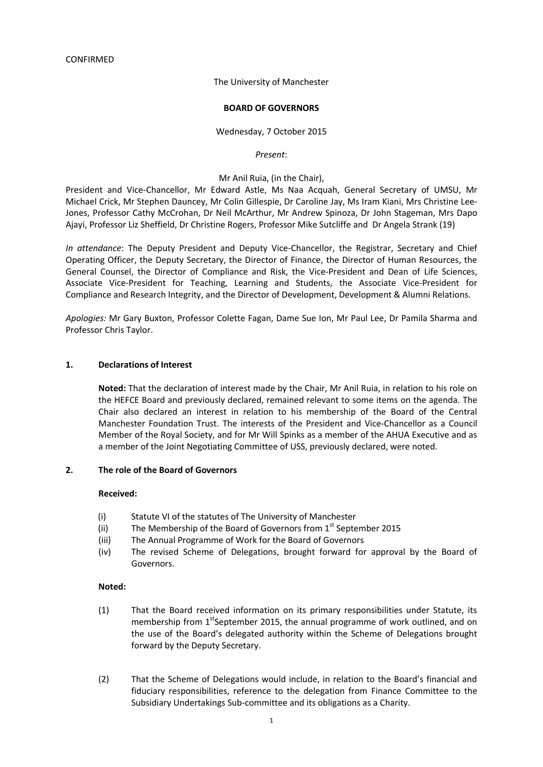## The University of Manchester

### **BOARD OF GOVERNORS**

## Wednesday, 7 October 2015

#### *Present*:

## Mr Anil Ruia, (in the Chair),

President and Vice-Chancellor, Mr Edward Astle, Ms Naa Acquah, General Secretary of UMSU, Mr Michael Crick, Mr Stephen Dauncey, Mr Colin Gillespie, Dr Caroline Jay, Ms Iram Kiani, Mrs Christine Lee-Jones, Professor Cathy McCrohan, Dr Neil McArthur, Mr Andrew Spinoza, Dr John Stageman, Mrs Dapo Ajayi, Professor Liz Sheffield, Dr Christine Rogers, Professor Mike Sutcliffe and Dr Angela Strank (19)

*In attendance*: The Deputy President and Deputy Vice-Chancellor, the Registrar, Secretary and Chief Operating Officer, the Deputy Secretary, the Director of Finance, the Director of Human Resources, the General Counsel, the Director of Compliance and Risk, the Vice-President and Dean of Life Sciences, Associate Vice-President for Teaching, Learning and Students, the Associate Vice-President for Compliance and Research Integrity, and the Director of Development, Development & Alumni Relations.

*Apologies:* Mr Gary Buxton, Professor Colette Fagan, Dame Sue Ion, Mr Paul Lee, Dr Pamila Sharma and Professor Chris Taylor.

### **1. Declarations of Interest**

**Noted:** That the declaration of interest made by the Chair, Mr Anil Ruia, in relation to his role on the HEFCE Board and previously declared, remained relevant to some items on the agenda. The Chair also declared an interest in relation to his membership of the Board of the Central Manchester Foundation Trust. The interests of the President and Vice-Chancellor as a Council Member of the Royal Society, and for Mr Will Spinks as a member of the AHUA Executive and as a member of the Joint Negotiating Committee of USS, previously declared, were noted.

### **2. The role of the Board of Governors**

### **Received:**

- (i) Statute VI of the statutes of The University of Manchester
- (ii) The Membership of the Board of Governors from  $1<sup>st</sup>$  September 2015
- (iii) The Annual Programme of Work for the Board of Governors
- (iv) The revised Scheme of Delegations, brought forward for approval by the Board of Governors.

### **Noted:**

- (1) That the Board received information on its primary responsibilities under Statute, its membership from  $1<sup>st</sup>$ September 2015, the annual programme of work outlined, and on the use of the Board's delegated authority within the Scheme of Delegations brought forward by the Deputy Secretary.
- (2) That the Scheme of Delegations would include, in relation to the Board's financial and fiduciary responsibilities, reference to the delegation from Finance Committee to the Subsidiary Undertakings Sub-committee and its obligations as a Charity.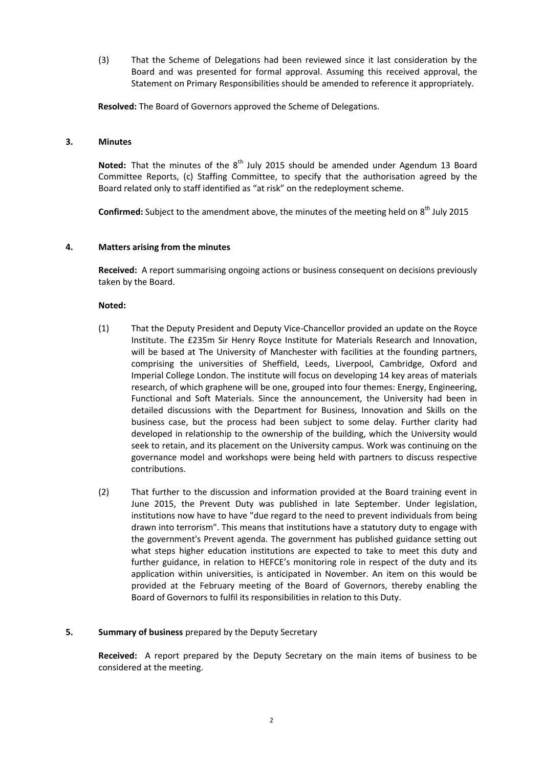(3) That the Scheme of Delegations had been reviewed since it last consideration by the Board and was presented for formal approval. Assuming this received approval, the Statement on Primary Responsibilities should be amended to reference it appropriately.

**Resolved:** The Board of Governors approved the Scheme of Delegations.

#### **3. Minutes**

**Noted:** That the minutes of the 8<sup>th</sup> July 2015 should be amended under Agendum 13 Board Committee Reports, (c) Staffing Committee, to specify that the authorisation agreed by the Board related only to staff identified as "at risk" on the redeployment scheme.

Confirmed: Subject to the amendment above, the minutes of the meeting held on 8<sup>th</sup> July 2015

### **4. Matters arising from the minutes**

**Received:** A report summarising ongoing actions or business consequent on decisions previously taken by the Board.

## **Noted:**

- (1) That the Deputy President and Deputy Vice-Chancellor provided an update on the Royce Institute. The £235m Sir Henry Royce Institute for Materials Research and Innovation, will be based at The University of Manchester with facilities at the founding partners, comprising the universities of Sheffield, Leeds, Liverpool, Cambridge, Oxford and Imperial College London. The institute will focus on developing 14 key areas of materials research, of which graphene will be one, grouped into four themes: Energy, Engineering, Functional and Soft Materials. Since the announcement, the University had been in detailed discussions with the Department for Business, Innovation and Skills on the business case, but the process had been subject to some delay. Further clarity had developed in relationship to the ownership of the building, which the University would seek to retain, and its placement on the University campus. Work was continuing on the governance model and workshops were being held with partners to discuss respective contributions.
- (2) That further to the discussion and information provided at the Board training event in June 2015, the Prevent Duty was published in late September. Under legislation, institutions now have to have "due regard to the need to prevent individuals from being drawn into terrorism". This means that institutions have a statutory duty to engage with the government's Prevent agenda. The government has published guidance setting out what steps higher education institutions are expected to take to meet this duty and further guidance, in relation to HEFCE's monitoring role in respect of the duty and its application within universities, is anticipated in November. An item on this would be provided at the February meeting of the Board of Governors, thereby enabling the Board of Governors to fulfil its responsibilities in relation to this Duty.

### **5. Summary of business** prepared by the Deputy Secretary

**Received:** A report prepared by the Deputy Secretary on the main items of business to be considered at the meeting.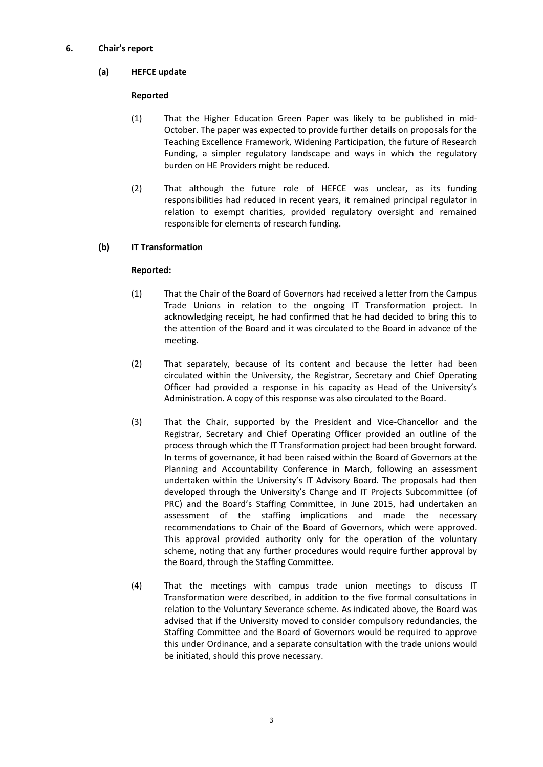# **6. Chair's report**

# **(a) HEFCE update**

# **Reported**

- (1) That the Higher Education Green Paper was likely to be published in mid-October. The paper was expected to provide further details on proposals for the Teaching Excellence Framework, Widening Participation, the future of Research Funding, a simpler regulatory landscape and ways in which the regulatory burden on HE Providers might be reduced.
- (2) That although the future role of HEFCE was unclear, as its funding responsibilities had reduced in recent years, it remained principal regulator in relation to exempt charities, provided regulatory oversight and remained responsible for elements of research funding.

# **(b) IT Transformation**

- (1) That the Chair of the Board of Governors had received a letter from the Campus Trade Unions in relation to the ongoing IT Transformation project. In acknowledging receipt, he had confirmed that he had decided to bring this to the attention of the Board and it was circulated to the Board in advance of the meeting.
- (2) That separately, because of its content and because the letter had been circulated within the University, the Registrar, Secretary and Chief Operating Officer had provided a response in his capacity as Head of the University's Administration. A copy of this response was also circulated to the Board.
- (3) That the Chair, supported by the President and Vice-Chancellor and the Registrar, Secretary and Chief Operating Officer provided an outline of the process through which the IT Transformation project had been brought forward. In terms of governance, it had been raised within the Board of Governors at the Planning and Accountability Conference in March, following an assessment undertaken within the University's IT Advisory Board. The proposals had then developed through the University's Change and IT Projects Subcommittee (of PRC) and the Board's Staffing Committee, in June 2015, had undertaken an assessment of the staffing implications and made the necessary recommendations to Chair of the Board of Governors, which were approved. This approval provided authority only for the operation of the voluntary scheme, noting that any further procedures would require further approval by the Board, through the Staffing Committee.
- (4) That the meetings with campus trade union meetings to discuss IT Transformation were described, in addition to the five formal consultations in relation to the Voluntary Severance scheme. As indicated above, the Board was advised that if the University moved to consider compulsory redundancies, the Staffing Committee and the Board of Governors would be required to approve this under Ordinance, and a separate consultation with the trade unions would be initiated, should this prove necessary.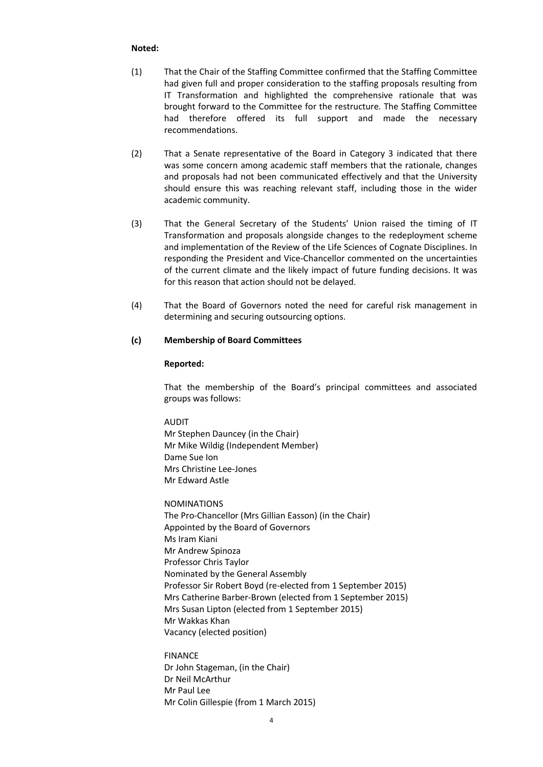- (1) That the Chair of the Staffing Committee confirmed that the Staffing Committee had given full and proper consideration to the staffing proposals resulting from IT Transformation and highlighted the comprehensive rationale that was brought forward to the Committee for the restructure. The Staffing Committee had therefore offered its full support and made the necessary recommendations.
- (2) That a Senate representative of the Board in Category 3 indicated that there was some concern among academic staff members that the rationale, changes and proposals had not been communicated effectively and that the University should ensure this was reaching relevant staff, including those in the wider academic community.
- (3) That the General Secretary of the Students' Union raised the timing of IT Transformation and proposals alongside changes to the redeployment scheme and implementation of the Review of the Life Sciences of Cognate Disciplines. In responding the President and Vice-Chancellor commented on the uncertainties of the current climate and the likely impact of future funding decisions. It was for this reason that action should not be delayed.
- (4) That the Board of Governors noted the need for careful risk management in determining and securing outsourcing options.

### **(c) Membership of Board Committees**

### **Reported:**

That the membership of the Board's principal committees and associated groups was follows:

AUDIT Mr Stephen Dauncey (in the Chair) Mr Mike Wildig (Independent Member) Dame Sue Ion Mrs Christine Lee-Jones Mr Edward Astle

NOMINATIONS The Pro-Chancellor (Mrs Gillian Easson) (in the Chair) Appointed by the Board of Governors Ms Iram Kiani Mr Andrew Spinoza Professor Chris Taylor Nominated by the General Assembly Professor Sir Robert Boyd (re-elected from 1 September 2015) Mrs Catherine Barber-Brown (elected from 1 September 2015) Mrs Susan Lipton (elected from 1 September 2015) Mr Wakkas Khan Vacancy (elected position)

FINANCE Dr John Stageman, (in the Chair) Dr Neil McArthur Mr Paul Lee Mr Colin Gillespie (from 1 March 2015)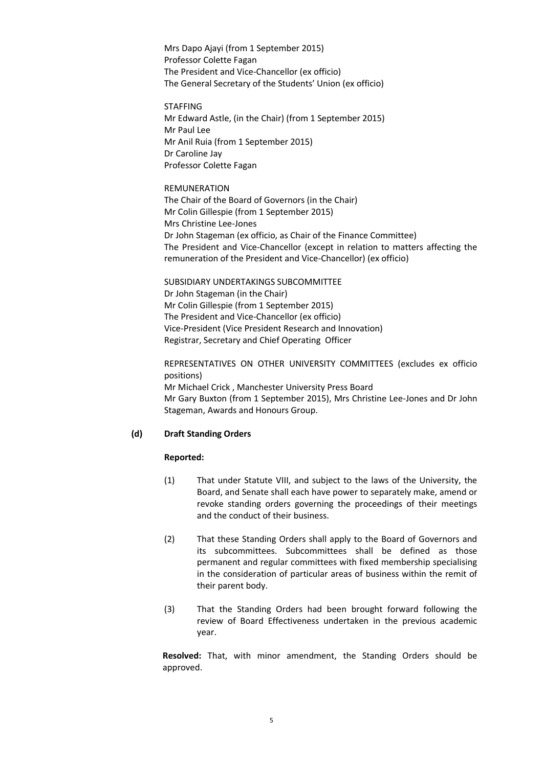Mrs Dapo Ajayi (from 1 September 2015) Professor Colette Fagan The President and Vice-Chancellor (ex officio) The General Secretary of the Students' Union (ex officio)

STAFFING Mr Edward Astle, (in the Chair) (from 1 September 2015) Mr Paul Lee Mr Anil Ruia (from 1 September 2015) Dr Caroline Jay Professor Colette Fagan

# REMUNERATION

The Chair of the Board of Governors (in the Chair) Mr Colin Gillespie (from 1 September 2015) Mrs Christine Lee-Jones Dr John Stageman (ex officio, as Chair of the Finance Committee) The President and Vice-Chancellor (except in relation to matters affecting the remuneration of the President and Vice-Chancellor) (ex officio)

SUBSIDIARY UNDERTAKINGS SUBCOMMITTEE Dr John Stageman (in the Chair) Mr Colin Gillespie (from 1 September 2015) The President and Vice-Chancellor (ex officio) Vice-President (Vice President Research and Innovation) Registrar, Secretary and Chief Operating Officer

REPRESENTATIVES ON OTHER UNIVERSITY COMMITTEES (excludes ex officio positions) Mr Michael Crick , Manchester University Press Board Mr Gary Buxton (from 1 September 2015), Mrs Christine Lee-Jones and Dr John Stageman, Awards and Honours Group.

# **(d) Draft Standing Orders**

### **Reported:**

- (1) That under Statute VIII, and subject to the laws of the University, the Board, and Senate shall each have power to separately make, amend or revoke standing orders governing the proceedings of their meetings and the conduct of their business.
- (2) That these Standing Orders shall apply to the Board of Governors and its subcommittees. Subcommittees shall be defined as those permanent and regular committees with fixed membership specialising in the consideration of particular areas of business within the remit of their parent body.
- (3) That the Standing Orders had been brought forward following the review of Board Effectiveness undertaken in the previous academic year.

**Resolved:** That, with minor amendment, the Standing Orders should be approved.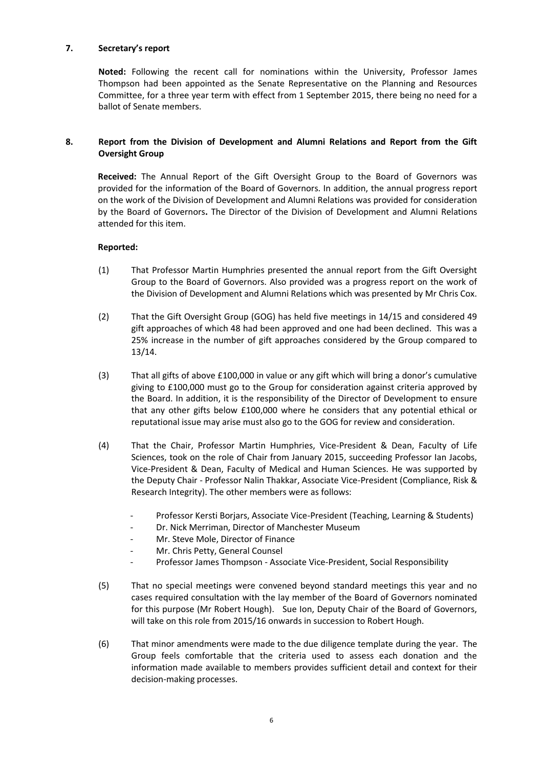## **7. Secretary's report**

**Noted:** Following the recent call for nominations within the University, Professor James Thompson had been appointed as the Senate Representative on the Planning and Resources Committee, for a three year term with effect from 1 September 2015, there being no need for a ballot of Senate members.

# **8. Report from the Division of Development and Alumni Relations and Report from the Gift Oversight Group**

**Received:** The Annual Report of the Gift Oversight Group to the Board of Governors was provided for the information of the Board of Governors. In addition, the annual progress report on the work of the Division of Development and Alumni Relations was provided for consideration by the Board of Governors**.** The Director of the Division of Development and Alumni Relations attended for this item.

- (1) That Professor Martin Humphries presented the annual report from the Gift Oversight Group to the Board of Governors. Also provided was a progress report on the work of the Division of Development and Alumni Relations which was presented by Mr Chris Cox.
- (2) That the Gift Oversight Group (GOG) has held five meetings in 14/15 and considered 49 gift approaches of which 48 had been approved and one had been declined. This was a 25% increase in the number of gift approaches considered by the Group compared to 13/14.
- (3) That all gifts of above £100,000 in value or any gift which will bring a donor's cumulative giving to £100,000 must go to the Group for consideration against criteria approved by the Board. In addition, it is the responsibility of the Director of Development to ensure that any other gifts below £100,000 where he considers that any potential ethical or reputational issue may arise must also go to the GOG for review and consideration.
- (4) That the Chair, Professor Martin Humphries, Vice-President & Dean, Faculty of Life Sciences, took on the role of Chair from January 2015, succeeding Professor Ian Jacobs, Vice-President & Dean, Faculty of Medical and Human Sciences. He was supported by the Deputy Chair - Professor Nalin Thakkar, Associate Vice-President (Compliance, Risk & Research Integrity). The other members were as follows:
	- Professor Kersti Borjars, Associate Vice-President (Teaching, Learning & Students)
	- Dr. Nick Merriman, Director of Manchester Museum
	- Mr. Steve Mole, Director of Finance
	- Mr. Chris Petty, General Counsel
	- Professor James Thompson Associate Vice-President, Social Responsibility
- (5) That no special meetings were convened beyond standard meetings this year and no cases required consultation with the lay member of the Board of Governors nominated for this purpose (Mr Robert Hough). Sue Ion, Deputy Chair of the Board of Governors, will take on this role from 2015/16 onwards in succession to Robert Hough.
- (6) That minor amendments were made to the due diligence template during the year. The Group feels comfortable that the criteria used to assess each donation and the information made available to members provides sufficient detail and context for their decision-making processes.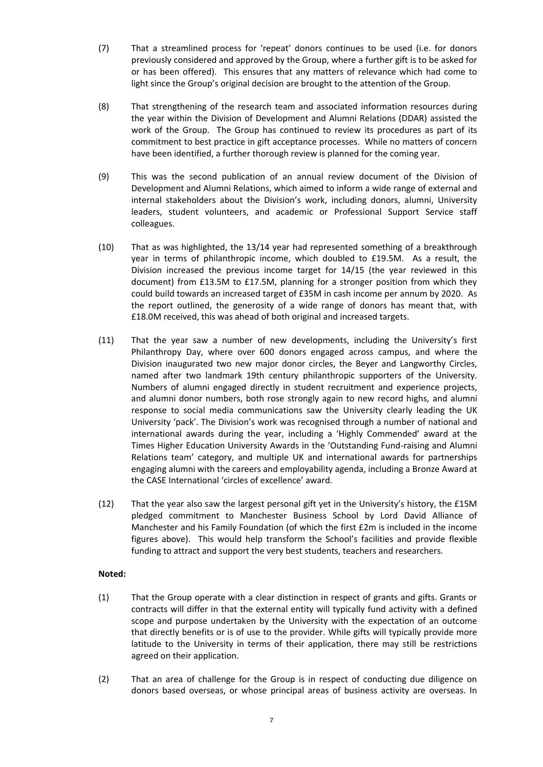- (7) That a streamlined process for 'repeat' donors continues to be used (i.e. for donors previously considered and approved by the Group, where a further gift is to be asked for or has been offered). This ensures that any matters of relevance which had come to light since the Group's original decision are brought to the attention of the Group.
- (8) That strengthening of the research team and associated information resources during the year within the Division of Development and Alumni Relations (DDAR) assisted the work of the Group. The Group has continued to review its procedures as part of its commitment to best practice in gift acceptance processes. While no matters of concern have been identified, a further thorough review is planned for the coming year.
- (9) This was the second publication of an annual review document of the Division of Development and Alumni Relations, which aimed to inform a wide range of external and internal stakeholders about the Division's work, including donors, alumni, University leaders, student volunteers, and academic or Professional Support Service staff colleagues.
- (10) That as was highlighted, the 13/14 year had represented something of a breakthrough year in terms of philanthropic income, which doubled to £19.5M. As a result, the Division increased the previous income target for 14/15 (the year reviewed in this document) from £13.5M to £17.5M, planning for a stronger position from which they could build towards an increased target of £35M in cash income per annum by 2020. As the report outlined, the generosity of a wide range of donors has meant that, with £18.0M received, this was ahead of both original and increased targets.
- (11) That the year saw a number of new developments, including the University's first Philanthropy Day, where over 600 donors engaged across campus, and where the Division inaugurated two new major donor circles, the Beyer and Langworthy Circles, named after two landmark 19th century philanthropic supporters of the University. Numbers of alumni engaged directly in student recruitment and experience projects, and alumni donor numbers, both rose strongly again to new record highs, and alumni response to social media communications saw the University clearly leading the UK University 'pack'. The Division's work was recognised through a number of national and international awards during the year, including a 'Highly Commended' award at the Times Higher Education University Awards in the 'Outstanding Fund-raising and Alumni Relations team' category, and multiple UK and international awards for partnerships engaging alumni with the careers and employability agenda, including a Bronze Award at the CASE International 'circles of excellence' award.
- (12) That the year also saw the largest personal gift yet in the University's history, the £15M pledged commitment to Manchester Business School by Lord David Alliance of Manchester and his Family Foundation (of which the first £2m is included in the income figures above). This would help transform the School's facilities and provide flexible funding to attract and support the very best students, teachers and researchers.

- (1) That the Group operate with a clear distinction in respect of grants and gifts. Grants or contracts will differ in that the external entity will typically fund activity with a defined scope and purpose undertaken by the University with the expectation of an outcome that directly benefits or is of use to the provider. While gifts will typically provide more latitude to the University in terms of their application, there may still be restrictions agreed on their application.
- (2) That an area of challenge for the Group is in respect of conducting due diligence on donors based overseas, or whose principal areas of business activity are overseas. In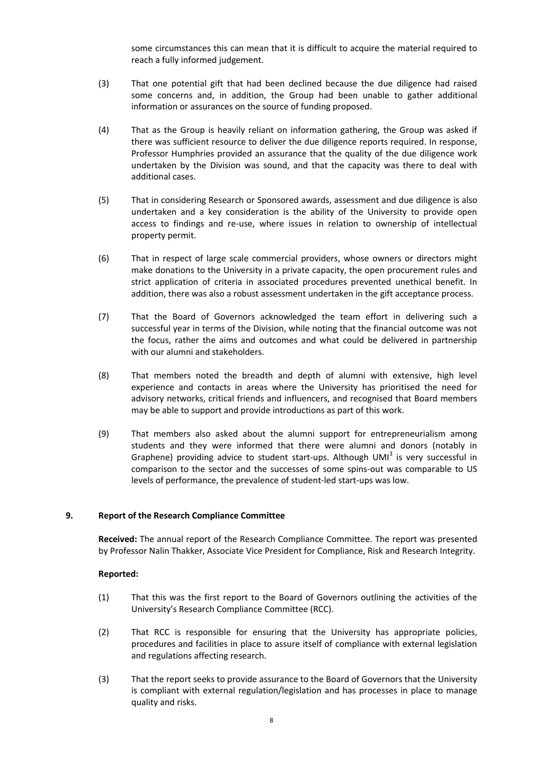some circumstances this can mean that it is difficult to acquire the material required to reach a fully informed judgement.

- (3) That one potential gift that had been declined because the due diligence had raised some concerns and, in addition, the Group had been unable to gather additional information or assurances on the source of funding proposed.
- (4) That as the Group is heavily reliant on information gathering, the Group was asked if there was sufficient resource to deliver the due diligence reports required. In response, Professor Humphries provided an assurance that the quality of the due diligence work undertaken by the Division was sound, and that the capacity was there to deal with additional cases.
- (5) That in considering Research or Sponsored awards, assessment and due diligence is also undertaken and a key consideration is the ability of the University to provide open access to findings and re-use, where issues in relation to ownership of intellectual property permit.
- (6) That in respect of large scale commercial providers, whose owners or directors might make donations to the University in a private capacity, the open procurement rules and strict application of criteria in associated procedures prevented unethical benefit. In addition, there was also a robust assessment undertaken in the gift acceptance process.
- (7) That the Board of Governors acknowledged the team effort in delivering such a successful year in terms of the Division, while noting that the financial outcome was not the focus, rather the aims and outcomes and what could be delivered in partnership with our alumni and stakeholders.
- (8) That members noted the breadth and depth of alumni with extensive, high level experience and contacts in areas where the University has prioritised the need for advisory networks, critical friends and influencers, and recognised that Board members may be able to support and provide introductions as part of this work.
- (9) That members also asked about the alumni support for entrepreneurialism among students and they were informed that there were alumni and donors (notably in Graphene) providing advice to student start-ups. Although UMI<sup>3</sup> is very successful in comparison to the sector and the successes of some spins-out was comparable to US levels of performance, the prevalence of student-led start-ups was low.

# **9. Report of the Research Compliance Committee**

**Received:** The annual report of the Research Compliance Committee. The report was presented by Professor Nalin Thakker, Associate Vice President for Compliance, Risk and Research Integrity.

- (1) That this was the first report to the Board of Governors outlining the activities of the University's Research Compliance Committee (RCC).
- (2) That RCC is responsible for ensuring that the University has appropriate policies, procedures and facilities in place to assure itself of compliance with external legislation and regulations affecting research.
- (3) That the report seeks to provide assurance to the Board of Governors that the University is compliant with external regulation/legislation and has processes in place to manage quality and risks.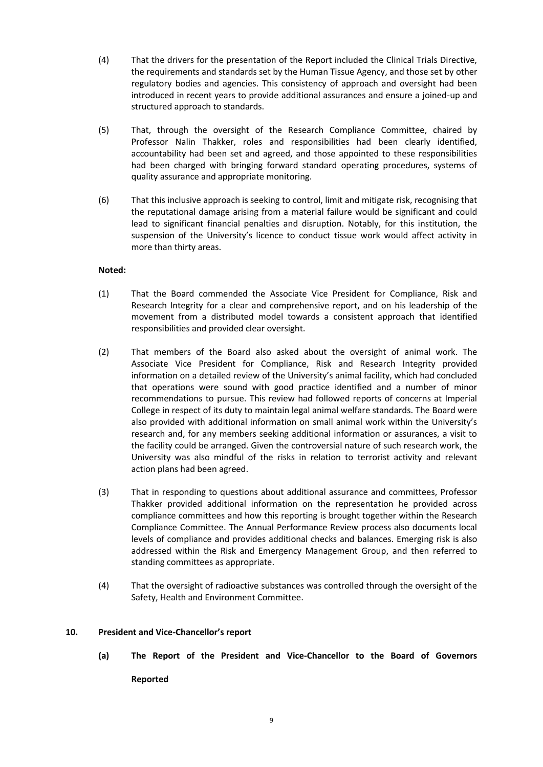- (4) That the drivers for the presentation of the Report included the Clinical Trials Directive, the requirements and standards set by the Human Tissue Agency, and those set by other regulatory bodies and agencies. This consistency of approach and oversight had been introduced in recent years to provide additional assurances and ensure a joined-up and structured approach to standards.
- (5) That, through the oversight of the Research Compliance Committee, chaired by Professor Nalin Thakker, roles and responsibilities had been clearly identified, accountability had been set and agreed, and those appointed to these responsibilities had been charged with bringing forward standard operating procedures, systems of quality assurance and appropriate monitoring.
- (6) That this inclusive approach is seeking to control, limit and mitigate risk, recognising that the reputational damage arising from a material failure would be significant and could lead to significant financial penalties and disruption. Notably, for this institution, the suspension of the University's licence to conduct tissue work would affect activity in more than thirty areas.

- (1) That the Board commended the Associate Vice President for Compliance, Risk and Research Integrity for a clear and comprehensive report, and on his leadership of the movement from a distributed model towards a consistent approach that identified responsibilities and provided clear oversight.
- (2) That members of the Board also asked about the oversight of animal work. The Associate Vice President for Compliance, Risk and Research Integrity provided information on a detailed review of the University's animal facility, which had concluded that operations were sound with good practice identified and a number of minor recommendations to pursue. This review had followed reports of concerns at Imperial College in respect of its duty to maintain legal animal welfare standards. The Board were also provided with additional information on small animal work within the University's research and, for any members seeking additional information or assurances, a visit to the facility could be arranged. Given the controversial nature of such research work, the University was also mindful of the risks in relation to terrorist activity and relevant action plans had been agreed.
- (3) That in responding to questions about additional assurance and committees, Professor Thakker provided additional information on the representation he provided across compliance committees and how this reporting is brought together within the Research Compliance Committee. The Annual Performance Review process also documents local levels of compliance and provides additional checks and balances. Emerging risk is also addressed within the Risk and Emergency Management Group, and then referred to standing committees as appropriate.
- (4) That the oversight of radioactive substances was controlled through the oversight of the Safety, Health and Environment Committee.

## **10. President and Vice-Chancellor's report**

**(a) The Report of the President and Vice-Chancellor to the Board of Governors Reported**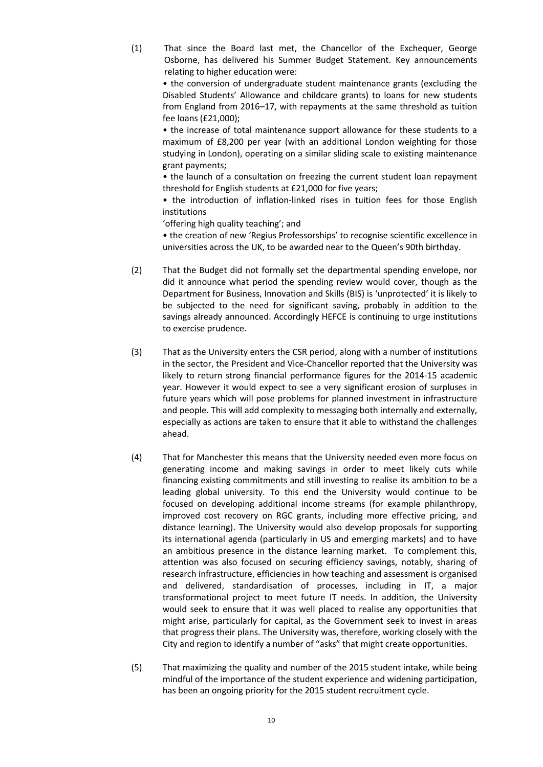(1) That since the Board last met, the Chancellor of the Exchequer, George Osborne, has delivered his Summer Budget Statement. Key announcements relating to higher education were:

• the conversion of undergraduate student maintenance grants (excluding the Disabled Students' Allowance and childcare grants) to loans for new students from England from 2016–17, with repayments at the same threshold as tuition fee loans (£21,000);

• the increase of total maintenance support allowance for these students to a maximum of £8,200 per year (with an additional London weighting for those studying in London), operating on a similar sliding scale to existing maintenance grant payments;

• the launch of a consultation on freezing the current student loan repayment threshold for English students at £21,000 for five years;

• the introduction of inflation-linked rises in tuition fees for those English institutions

'offering high quality teaching'; and

• the creation of new 'Regius Professorships' to recognise scientific excellence in universities across the UK, to be awarded near to the Queen's 90th birthday.

- (2) That the Budget did not formally set the departmental spending envelope, nor did it announce what period the spending review would cover, though as the Department for Business, Innovation and Skills (BIS) is 'unprotected' it is likely to be subjected to the need for significant saving, probably in addition to the savings already announced. Accordingly HEFCE is continuing to urge institutions to exercise prudence.
- (3) That as the University enters the CSR period, along with a number of institutions in the sector, the President and Vice-Chancellor reported that the University was likely to return strong financial performance figures for the 2014-15 academic year. However it would expect to see a very significant erosion of surpluses in future years which will pose problems for planned investment in infrastructure and people. This will add complexity to messaging both internally and externally, especially as actions are taken to ensure that it able to withstand the challenges ahead.
- (4) That for Manchester this means that the University needed even more focus on generating income and making savings in order to meet likely cuts while financing existing commitments and still investing to realise its ambition to be a leading global university. To this end the University would continue to be focused on developing additional income streams (for example philanthropy, improved cost recovery on RGC grants, including more effective pricing, and distance learning). The University would also develop proposals for supporting its international agenda (particularly in US and emerging markets) and to have an ambitious presence in the distance learning market. To complement this, attention was also focused on securing efficiency savings, notably, sharing of research infrastructure, efficiencies in how teaching and assessment is organised and delivered, standardisation of processes, including in IT, a major transformational project to meet future IT needs. In addition, the University would seek to ensure that it was well placed to realise any opportunities that might arise, particularly for capital, as the Government seek to invest in areas that progress their plans. The University was, therefore, working closely with the City and region to identify a number of "asks" that might create opportunities.
- (5) That maximizing the quality and number of the 2015 student intake, while being mindful of the importance of the student experience and widening participation, has been an ongoing priority for the 2015 student recruitment cycle.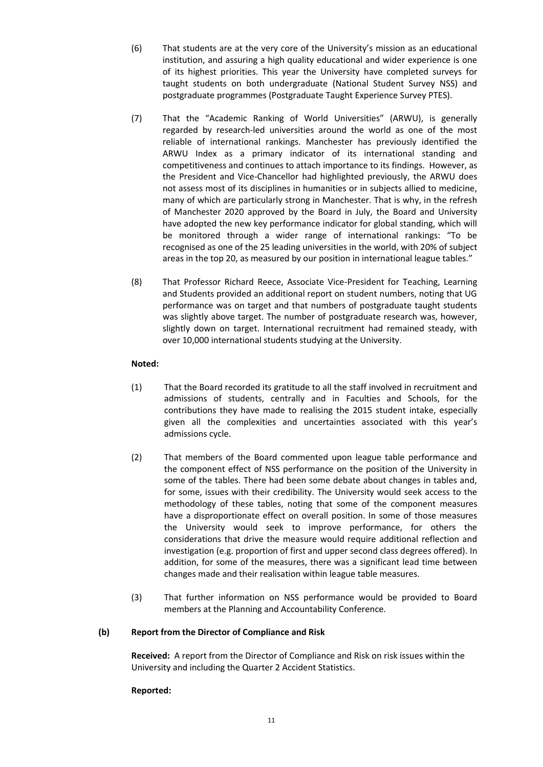- (6) That students are at the very core of the University's mission as an educational institution, and assuring a high quality educational and wider experience is one of its highest priorities. This year the University have completed surveys for taught students on both undergraduate (National Student Survey NSS) and postgraduate programmes (Postgraduate Taught Experience Survey PTES).
- (7) That the "Academic Ranking of World Universities" (ARWU), is generally regarded by research-led universities around the world as one of the most reliable of international rankings. Manchester has previously identified the ARWU Index as a primary indicator of its international standing and competitiveness and continues to attach importance to its findings. However, as the President and Vice-Chancellor had highlighted previously, the ARWU does not assess most of its disciplines in humanities or in subjects allied to medicine, many of which are particularly strong in Manchester. That is why, in the refresh of Manchester 2020 approved by the Board in July, the Board and University have adopted the new key performance indicator for global standing, which will be monitored through a wider range of international rankings: "To be recognised as one of the 25 leading universities in the world, with 20% of subject areas in the top 20, as measured by our position in international league tables."
- (8) That Professor Richard Reece, Associate Vice-President for Teaching, Learning and Students provided an additional report on student numbers, noting that UG performance was on target and that numbers of postgraduate taught students was slightly above target. The number of postgraduate research was, however, slightly down on target. International recruitment had remained steady, with over 10,000 international students studying at the University.

- (1) That the Board recorded its gratitude to all the staff involved in recruitment and admissions of students, centrally and in Faculties and Schools, for the contributions they have made to realising the 2015 student intake, especially given all the complexities and uncertainties associated with this year's admissions cycle.
- (2) That members of the Board commented upon league table performance and the component effect of NSS performance on the position of the University in some of the tables. There had been some debate about changes in tables and, for some, issues with their credibility. The University would seek access to the methodology of these tables, noting that some of the component measures have a disproportionate effect on overall position. In some of those measures the University would seek to improve performance, for others the considerations that drive the measure would require additional reflection and investigation (e.g. proportion of first and upper second class degrees offered). In addition, for some of the measures, there was a significant lead time between changes made and their realisation within league table measures.
- (3) That further information on NSS performance would be provided to Board members at the Planning and Accountability Conference.

### **(b) Report from the Director of Compliance and Risk**

**Received:** A report from the Director of Compliance and Risk on risk issues within the University and including the Quarter 2 Accident Statistics.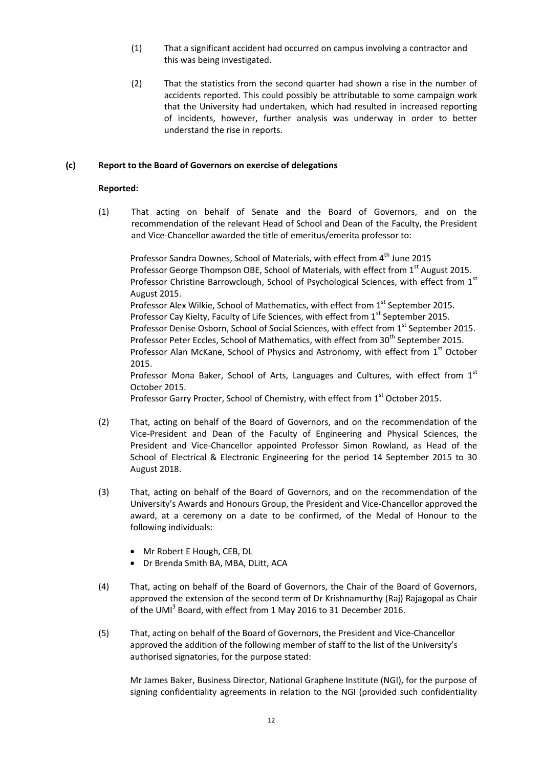- (1) That a significant accident had occurred on campus involving a contractor and this was being investigated.
- (2) That the statistics from the second quarter had shown a rise in the number of accidents reported. This could possibly be attributable to some campaign work that the University had undertaken, which had resulted in increased reporting of incidents, however, further analysis was underway in order to better understand the rise in reports.

## **(c) Report to the Board of Governors on exercise of delegations**

## **Reported:**

(1) That acting on behalf of Senate and the Board of Governors, and on the recommendation of the relevant Head of School and Dean of the Faculty, the President and Vice-Chancellor awarded the title of emeritus/emerita professor to:

Professor Sandra Downes, School of Materials, with effect from 4<sup>th</sup> June 2015 Professor George Thompson OBE, School of Materials, with effect from 1<sup>st</sup> August 2015. Professor Christine Barrowclough, School of Psychological Sciences, with effect from  $1<sup>st</sup>$ August 2015. Professor Alex Wilkie, School of Mathematics, with effect from 1<sup>st</sup> September 2015. Professor Cay Kielty, Faculty of Life Sciences, with effect from 1<sup>st</sup> September 2015. Professor Denise Osborn, School of Social Sciences, with effect from 1<sup>st</sup> September 2015. Professor Peter Eccles, School of Mathematics, with effect from 30<sup>th</sup> September 2015. Professor Alan McKane, School of Physics and Astronomy, with effect from 1<sup>st</sup> October 2015. Professor Mona Baker, School of Arts, Languages and Cultures, with effect from  $1<sup>st</sup>$ October 2015.

Professor Garry Procter, School of Chemistry, with effect from 1<sup>st</sup> October 2015.

- (2) That, acting on behalf of the Board of Governors, and on the recommendation of the Vice-President and Dean of the Faculty of Engineering and Physical Sciences, the President and Vice-Chancellor appointed Professor Simon Rowland, as Head of the School of Electrical & Electronic Engineering for the period 14 September 2015 to 30 August 2018.
- (3) That, acting on behalf of the Board of Governors, and on the recommendation of the University's Awards and Honours Group, the President and Vice-Chancellor approved the award, at a ceremony on a date to be confirmed, of the Medal of Honour to the following individuals:
	- Mr Robert E Hough, CEB, DL
	- Dr Brenda Smith BA, MBA, DLitt, ACA
- (4) That, acting on behalf of the Board of Governors, the Chair of the Board of Governors, approved the extension of the second term of Dr Krishnamurthy (Raj) Rajagopal as Chair of the UMI<sup>3</sup> Board, with effect from 1 May 2016 to 31 December 2016.
- (5) That, acting on behalf of the Board of Governors, the President and Vice-Chancellor approved the addition of the following member of staff to the list of the University's authorised signatories, for the purpose stated:

Mr James Baker, Business Director, National Graphene Institute (NGI), for the purpose of signing confidentiality agreements in relation to the NGI (provided such confidentiality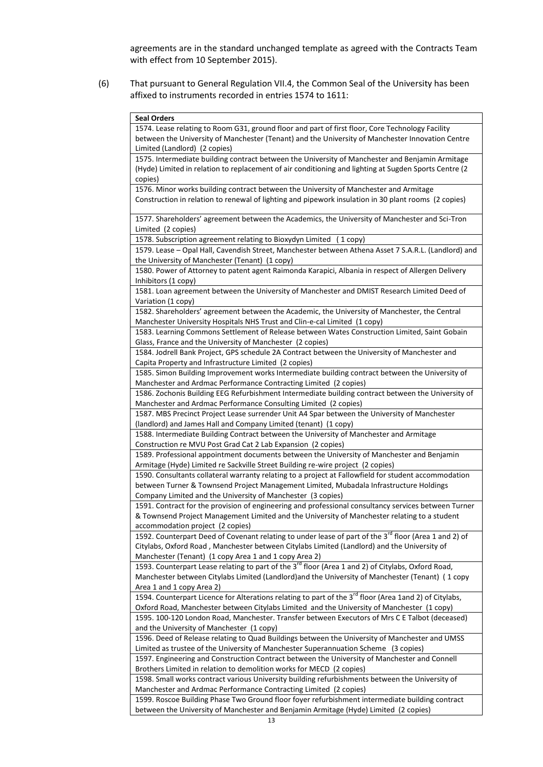agreements are in the standard unchanged template as agreed with the Contracts Team with effect from 10 September 2015).

(6) That pursuant to General Regulation VII.4, the Common Seal of the University has been affixed to instruments recorded in entries 1574 to 1611:

| <b>Seal Orders</b>                                                                                                 |
|--------------------------------------------------------------------------------------------------------------------|
| 1574. Lease relating to Room G31, ground floor and part of first floor, Core Technology Facility                   |
| between the University of Manchester (Tenant) and the University of Manchester Innovation Centre                   |
| Limited (Landlord) (2 copies)                                                                                      |
| 1575. Intermediate building contract between the University of Manchester and Benjamin Armitage                    |
| (Hyde) Limited in relation to replacement of air conditioning and lighting at Sugden Sports Centre (2)             |
| copies)                                                                                                            |
| 1576. Minor works building contract between the University of Manchester and Armitage                              |
| Construction in relation to renewal of lighting and pipework insulation in 30 plant rooms (2 copies)               |
|                                                                                                                    |
| 1577. Shareholders' agreement between the Academics, the University of Manchester and Sci-Tron                     |
| Limited (2 copies)                                                                                                 |
| 1578. Subscription agreement relating to Bioxydyn Limited (1 copy)                                                 |
| 1579. Lease - Opal Hall, Cavendish Street, Manchester between Athena Asset 7 S.A.R.L. (Landlord) and               |
| the University of Manchester (Tenant) (1 copy)                                                                     |
| 1580. Power of Attorney to patent agent Raimonda Karapici, Albania in respect of Allergen Delivery                 |
| Inhibitors (1 copy)                                                                                                |
| 1581. Loan agreement between the University of Manchester and DMIST Research Limited Deed of                       |
| Variation (1 copy)                                                                                                 |
| 1582. Shareholders' agreement between the Academic, the University of Manchester, the Central                      |
| Manchester University Hospitals NHS Trust and Clin-e-cal Limited (1 copy)                                          |
| 1583. Learning Commons Settlement of Release between Wates Construction Limited, Saint Gobain                      |
| Glass, France and the University of Manchester (2 copies)                                                          |
| 1584. Jodrell Bank Project, GPS schedule 2A Contract between the University of Manchester and                      |
| Capita Property and Infrastructure Limited (2 copies)                                                              |
| 1585. Simon Building Improvement works Intermediate building contract between the University of                    |
| Manchester and Ardmac Performance Contracting Limited (2 copies)                                                   |
| 1586. Zochonis Building EEG Refurbishment Intermediate building contract between the University of                 |
| Manchester and Ardmac Performance Consulting Limited (2 copies)                                                    |
| 1587. MBS Precinct Project Lease surrender Unit A4 Spar between the University of Manchester                       |
| (landlord) and James Hall and Company Limited (tenant) (1 copy)                                                    |
| 1588. Intermediate Building Contract between the University of Manchester and Armitage                             |
| Construction re MVU Post Grad Cat 2 Lab Expansion (2 copies)                                                       |
| 1589. Professional appointment documents between the University of Manchester and Benjamin                         |
| Armitage (Hyde) Limited re Sackville Street Building re-wire project (2 copies)                                    |
| 1590. Consultants collateral warranty relating to a project at Fallowfield for student accommodation               |
| between Turner & Townsend Project Management Limited, Mubadala Infrastructure Holdings                             |
| Company Limited and the University of Manchester (3 copies)                                                        |
| 1591. Contract for the provision of engineering and professional consultancy services between Turner               |
| & Townsend Project Management Limited and the University of Manchester relating to a student                       |
| accommodation project (2 copies)                                                                                   |
| 1592. Counterpart Deed of Covenant relating to under lease of part of the 3 <sup>rd</sup> floor (Area 1 and 2) of  |
| Citylabs, Oxford Road, Manchester between Citylabs Limited (Landlord) and the University of                        |
| Manchester (Tenant) (1 copy Area 1 and 1 copy Area 2)                                                              |
| 1593. Counterpart Lease relating to part of the 3 <sup>rd</sup> floor (Area 1 and 2) of Citylabs, Oxford Road,     |
| Manchester between Citylabs Limited (Landlord) and the University of Manchester (Tenant) (1 copy                   |
| Area 1 and 1 copy Area 2)                                                                                          |
| 1594. Counterpart Licence for Alterations relating to part of the 3 <sup>rd</sup> floor (Area 1and 2) of Citylabs, |
| Oxford Road, Manchester between Citylabs Limited and the University of Manchester (1 copy)                         |
| 1595. 100-120 London Road, Manchester. Transfer between Executors of Mrs C E Talbot (deceased)                     |
| and the University of Manchester (1 copy)                                                                          |
| 1596. Deed of Release relating to Quad Buildings between the University of Manchester and UMSS                     |
| Limited as trustee of the University of Manchester Superannuation Scheme (3 copies)                                |
| 1597. Engineering and Construction Contract between the University of Manchester and Connell                       |
| Brothers Limited in relation to demolition works for MECD (2 copies)                                               |
| 1598. Small works contract various University building refurbishments between the University of                    |
| Manchester and Ardmac Performance Contracting Limited (2 copies)                                                   |
| 1599. Roscoe Building Phase Two Ground floor foyer refurbishment intermediate building contract                    |
| between the University of Manchester and Benjamin Armitage (Hyde) Limited (2 copies)                               |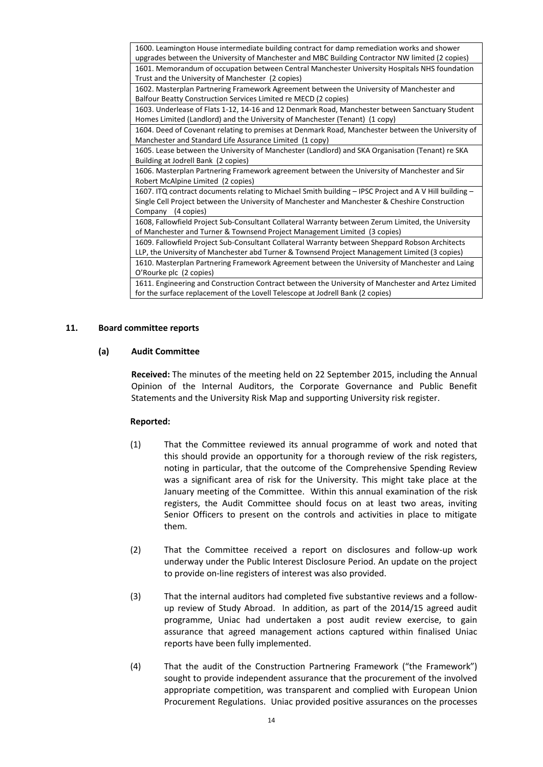| 1600. Leamington House intermediate building contract for damp remediation works and shower            |
|--------------------------------------------------------------------------------------------------------|
| upgrades between the University of Manchester and MBC Building Contractor NW limited (2 copies)        |
| 1601. Memorandum of occupation between Central Manchester University Hospitals NHS foundation          |
| Trust and the University of Manchester (2 copies)                                                      |
| 1602. Masterplan Partnering Framework Agreement between the University of Manchester and               |
| Balfour Beatty Construction Services Limited re MECD (2 copies)                                        |
| 1603. Underlease of Flats 1-12, 14-16 and 12 Denmark Road, Manchester between Sanctuary Student        |
| Homes Limited (Landlord) and the University of Manchester (Tenant) (1 copy)                            |
| 1604. Deed of Covenant relating to premises at Denmark Road, Manchester between the University of      |
| Manchester and Standard Life Assurance Limited (1 copy)                                                |
| 1605. Lease between the University of Manchester (Landlord) and SKA Organisation (Tenant) re SKA       |
| Building at Jodrell Bank (2 copies)                                                                    |
| 1606. Masterplan Partnering Framework agreement between the University of Manchester and Sir           |
| Robert McAlpine Limited (2 copies)                                                                     |
| 1607. ITQ contract documents relating to Michael Smith building - IPSC Project and A V Hill building - |
| Single Cell Project between the University of Manchester and Manchester & Cheshire Construction        |
| Company (4 copies)                                                                                     |
| 1608, Fallowfield Project Sub-Consultant Collateral Warranty between Zerum Limited, the University     |
| of Manchester and Turner & Townsend Project Management Limited (3 copies)                              |
| 1609. Fallowfield Project Sub-Consultant Collateral Warranty between Sheppard Robson Architects        |
| LLP, the University of Manchester abd Turner & Townsend Project Management Limited (3 copies)          |
| 1610. Masterplan Partnering Framework Agreement between the University of Manchester and Laing         |
| O'Rourke plc (2 copies)                                                                                |
| 1611. Engineering and Construction Contract between the University of Manchester and Artez Limited     |
| for the surface replacement of the Lovell Telescope at Jodrell Bank (2 copies)                         |

## **11. Board committee reports**

### **(a) Audit Committee**

**Received:** The minutes of the meeting held on 22 September 2015, including the Annual Opinion of the Internal Auditors, the Corporate Governance and Public Benefit Statements and the University Risk Map and supporting University risk register.

- (1) That the Committee reviewed its annual programme of work and noted that this should provide an opportunity for a thorough review of the risk registers, noting in particular, that the outcome of the Comprehensive Spending Review was a significant area of risk for the University. This might take place at the January meeting of the Committee. Within this annual examination of the risk registers, the Audit Committee should focus on at least two areas, inviting Senior Officers to present on the controls and activities in place to mitigate them.
- (2) That the Committee received a report on disclosures and follow-up work underway under the Public Interest Disclosure Period. An update on the project to provide on-line registers of interest was also provided.
- (3) That the internal auditors had completed five substantive reviews and a followup review of Study Abroad. In addition, as part of the 2014/15 agreed audit programme, Uniac had undertaken a post audit review exercise, to gain assurance that agreed management actions captured within finalised Uniac reports have been fully implemented.
- (4) That the audit of the Construction Partnering Framework ("the Framework") sought to provide independent assurance that the procurement of the involved appropriate competition, was transparent and complied with European Union Procurement Regulations. Uniac provided positive assurances on the processes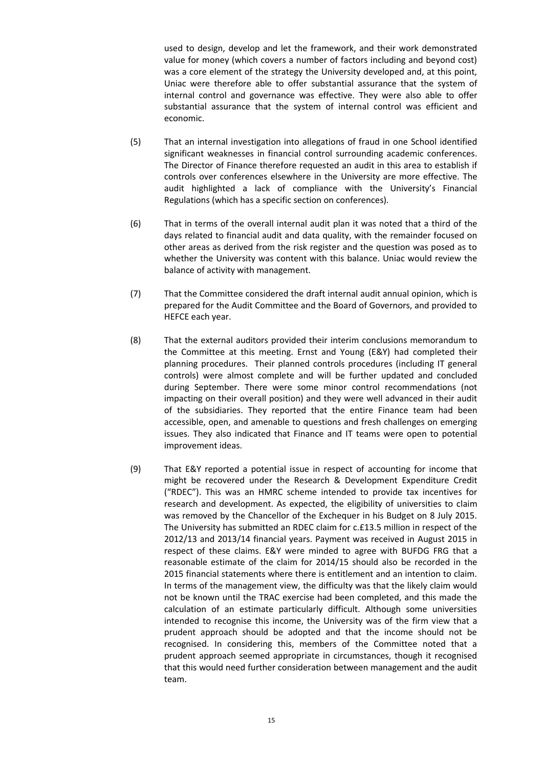used to design, develop and let the framework, and their work demonstrated value for money (which covers a number of factors including and beyond cost) was a core element of the strategy the University developed and, at this point, Uniac were therefore able to offer substantial assurance that the system of internal control and governance was effective. They were also able to offer substantial assurance that the system of internal control was efficient and economic.

- (5) That an internal investigation into allegations of fraud in one School identified significant weaknesses in financial control surrounding academic conferences. The Director of Finance therefore requested an audit in this area to establish if controls over conferences elsewhere in the University are more effective. The audit highlighted a lack of compliance with the University's Financial Regulations (which has a specific section on conferences).
- (6) That in terms of the overall internal audit plan it was noted that a third of the days related to financial audit and data quality, with the remainder focused on other areas as derived from the risk register and the question was posed as to whether the University was content with this balance. Uniac would review the balance of activity with management.
- (7) That the Committee considered the draft internal audit annual opinion, which is prepared for the Audit Committee and the Board of Governors, and provided to HEFCE each year.
- (8) That the external auditors provided their interim conclusions memorandum to the Committee at this meeting. Ernst and Young (E&Y) had completed their planning procedures. Their planned controls procedures (including IT general controls) were almost complete and will be further updated and concluded during September. There were some minor control recommendations (not impacting on their overall position) and they were well advanced in their audit of the subsidiaries. They reported that the entire Finance team had been accessible, open, and amenable to questions and fresh challenges on emerging issues. They also indicated that Finance and IT teams were open to potential improvement ideas.
- (9) That E&Y reported a potential issue in respect of accounting for income that might be recovered under the Research & Development Expenditure Credit ("RDEC"). This was an HMRC scheme intended to provide tax incentives for research and development. As expected, the eligibility of universities to claim was removed by the Chancellor of the Exchequer in his Budget on 8 July 2015. The University has submitted an RDEC claim for c.£13.5 million in respect of the 2012/13 and 2013/14 financial years. Payment was received in August 2015 in respect of these claims. E&Y were minded to agree with BUFDG FRG that a reasonable estimate of the claim for 2014/15 should also be recorded in the 2015 financial statements where there is entitlement and an intention to claim. In terms of the management view, the difficulty was that the likely claim would not be known until the TRAC exercise had been completed, and this made the calculation of an estimate particularly difficult. Although some universities intended to recognise this income, the University was of the firm view that a prudent approach should be adopted and that the income should not be recognised. In considering this, members of the Committee noted that a prudent approach seemed appropriate in circumstances, though it recognised that this would need further consideration between management and the audit team.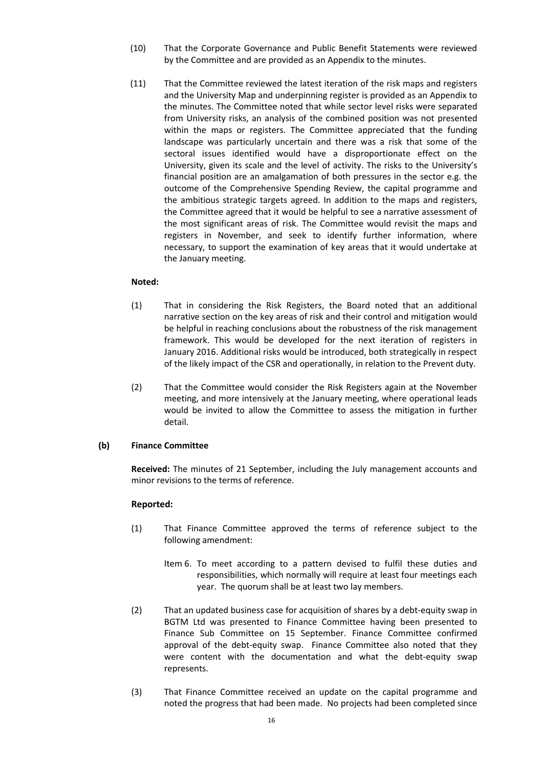- (10) That the Corporate Governance and Public Benefit Statements were reviewed by the Committee and are provided as an Appendix to the minutes.
- (11) That the Committee reviewed the latest iteration of the risk maps and registers and the University Map and underpinning register is provided as an Appendix to the minutes. The Committee noted that while sector level risks were separated from University risks, an analysis of the combined position was not presented within the maps or registers. The Committee appreciated that the funding landscape was particularly uncertain and there was a risk that some of the sectoral issues identified would have a disproportionate effect on the University, given its scale and the level of activity. The risks to the University's financial position are an amalgamation of both pressures in the sector e.g. the outcome of the Comprehensive Spending Review, the capital programme and the ambitious strategic targets agreed. In addition to the maps and registers, the Committee agreed that it would be helpful to see a narrative assessment of the most significant areas of risk. The Committee would revisit the maps and registers in November, and seek to identify further information, where necessary, to support the examination of key areas that it would undertake at the January meeting.

- (1) That in considering the Risk Registers, the Board noted that an additional narrative section on the key areas of risk and their control and mitigation would be helpful in reaching conclusions about the robustness of the risk management framework. This would be developed for the next iteration of registers in January 2016. Additional risks would be introduced, both strategically in respect of the likely impact of the CSR and operationally, in relation to the Prevent duty.
- (2) That the Committee would consider the Risk Registers again at the November meeting, and more intensively at the January meeting, where operational leads would be invited to allow the Committee to assess the mitigation in further detail.

# **(b) Finance Committee**

**Received:** The minutes of 21 September, including the July management accounts and minor revisions to the terms of reference.

- (1) That Finance Committee approved the terms of reference subject to the following amendment:
	- Item 6. To meet according to a pattern devised to fulfil these duties and responsibilities, which normally will require at least four meetings each year. The quorum shall be at least two lay members.
- (2) That an updated business case for acquisition of shares by a debt-equity swap in BGTM Ltd was presented to Finance Committee having been presented to Finance Sub Committee on 15 September. Finance Committee confirmed approval of the debt-equity swap. Finance Committee also noted that they were content with the documentation and what the debt-equity swap represents.
- (3) That Finance Committee received an update on the capital programme and noted the progress that had been made. No projects had been completed since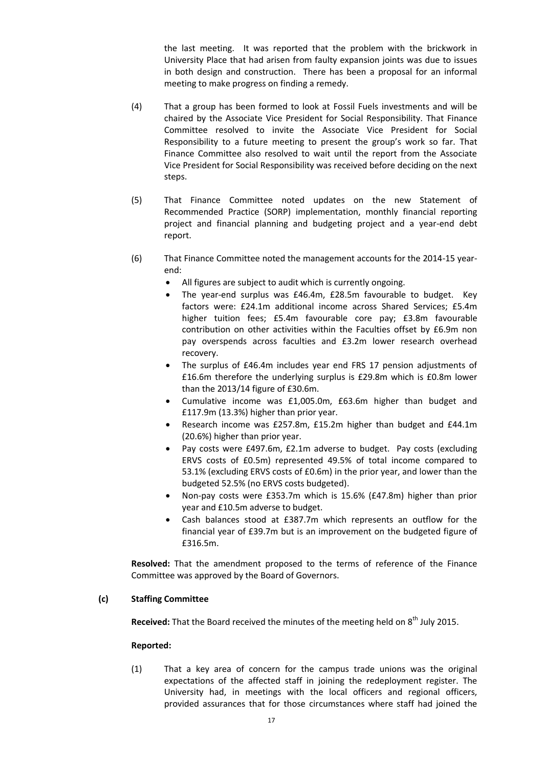the last meeting. It was reported that the problem with the brickwork in University Place that had arisen from faulty expansion joints was due to issues in both design and construction. There has been a proposal for an informal meeting to make progress on finding a remedy.

- (4) That a group has been formed to look at Fossil Fuels investments and will be chaired by the Associate Vice President for Social Responsibility. That Finance Committee resolved to invite the Associate Vice President for Social Responsibility to a future meeting to present the group's work so far. That Finance Committee also resolved to wait until the report from the Associate Vice President for Social Responsibility was received before deciding on the next steps.
- (5) That Finance Committee noted updates on the new Statement of Recommended Practice (SORP) implementation, monthly financial reporting project and financial planning and budgeting project and a year-end debt report.
- (6) That Finance Committee noted the management accounts for the 2014-15 yearend:
	- All figures are subject to audit which is currently ongoing.
	- The year-end surplus was £46.4m, £28.5m favourable to budget. Key factors were: £24.1m additional income across Shared Services; £5.4m higher tuition fees; £5.4m favourable core pay; £3.8m favourable contribution on other activities within the Faculties offset by £6.9m non pay overspends across faculties and £3.2m lower research overhead recovery.
	- The surplus of £46.4m includes year end FRS 17 pension adjustments of £16.6m therefore the underlying surplus is £29.8m which is £0.8m lower than the 2013/14 figure of £30.6m.
	- Cumulative income was £1,005.0m, £63.6m higher than budget and £117.9m (13.3%) higher than prior year.
	- Research income was £257.8m, £15.2m higher than budget and £44.1m (20.6%) higher than prior year.
	- Pay costs were £497.6m, £2.1m adverse to budget. Pay costs (excluding ERVS costs of £0.5m) represented 49.5% of total income compared to 53.1% (excluding ERVS costs of £0.6m) in the prior year, and lower than the budgeted 52.5% (no ERVS costs budgeted).
	- Non-pay costs were £353.7m which is 15.6% (£47.8m) higher than prior year and £10.5m adverse to budget.
	- Cash balances stood at £387.7m which represents an outflow for the financial year of £39.7m but is an improvement on the budgeted figure of £316.5m.

**Resolved:** That the amendment proposed to the terms of reference of the Finance Committee was approved by the Board of Governors.

# **(c) Staffing Committee**

**Received:** That the Board received the minutes of the meeting held on 8<sup>th</sup> July 2015.

### **Reported:**

(1) That a key area of concern for the campus trade unions was the original expectations of the affected staff in joining the redeployment register. The University had, in meetings with the local officers and regional officers, provided assurances that for those circumstances where staff had joined the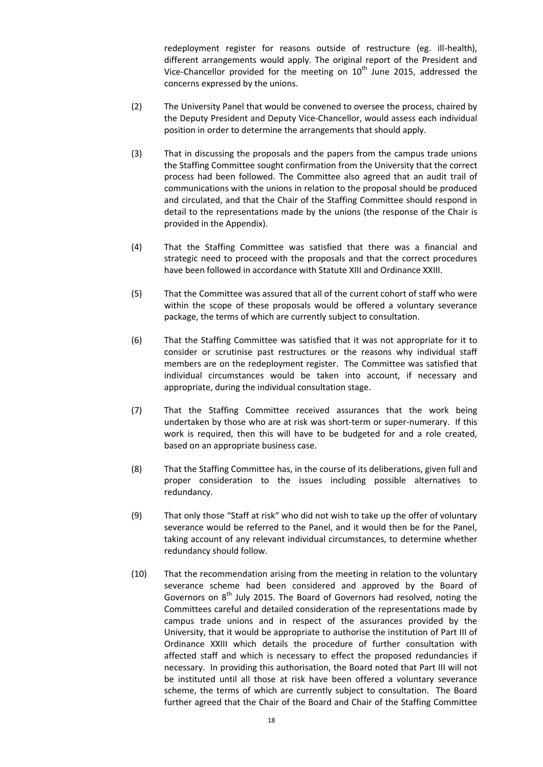redeployment register for reasons outside of restructure (eg. ill-health), different arrangements would apply. The original report of the President and Vice-Chancellor provided for the meeting on  $10<sup>th</sup>$  June 2015, addressed the concerns expressed by the unions.

- (2) The University Panel that would be convened to oversee the process, chaired by the Deputy President and Deputy Vice-Chancellor, would assess each individual position in order to determine the arrangements that should apply.
- (3) That in discussing the proposals and the papers from the campus trade unions the Staffing Committee sought confirmation from the University that the correct process had been followed. The Committee also agreed that an audit trail of communications with the unions in relation to the proposal should be produced and circulated, and that the Chair of the Staffing Committee should respond in detail to the representations made by the unions (the response of the Chair is provided in the Appendix).
- (4) That the Staffing Committee was satisfied that there was a financial and strategic need to proceed with the proposals and that the correct procedures have been followed in accordance with Statute XIII and Ordinance XXIII.
- (5) That the Committee was assured that all of the current cohort of staff who were within the scope of these proposals would be offered a voluntary severance package, the terms of which are currently subject to consultation.
- (6) That the Staffing Committee was satisfied that it was not appropriate for it to consider or scrutinise past restructures or the reasons why individual staff members are on the redeployment register. The Committee was satisfied that individual circumstances would be taken into account, if necessary and appropriate, during the individual consultation stage.
- (7) That the Staffing Committee received assurances that the work being undertaken by those who are at risk was short-term or super-numerary. If this work is required, then this will have to be budgeted for and a role created, based on an appropriate business case.
- (8) That the Staffing Committee has, in the course of its deliberations, given full and proper consideration to the issues including possible alternatives to redundancy.
- (9) That only those "Staff at risk" who did not wish to take up the offer of voluntary severance would be referred to the Panel, and it would then be for the Panel, taking account of any relevant individual circumstances, to determine whether redundancy should follow.
- (10) That the recommendation arising from the meeting in relation to the voluntary severance scheme had been considered and approved by the Board of Governors on 8<sup>th</sup> July 2015. The Board of Governors had resolved, noting the Committees careful and detailed consideration of the representations made by campus trade unions and in respect of the assurances provided by the University, that it would be appropriate to authorise the institution of Part III of Ordinance XXIII which details the procedure of further consultation with affected staff and which is necessary to effect the proposed redundancies if necessary. In providing this authorisation, the Board noted that Part III will not be instituted until all those at risk have been offered a voluntary severance scheme, the terms of which are currently subject to consultation. The Board further agreed that the Chair of the Board and Chair of the Staffing Committee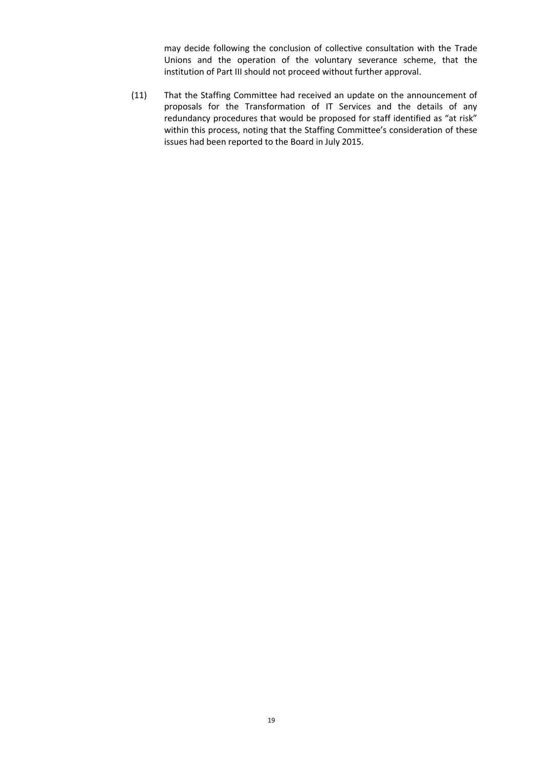may decide following the conclusion of collective consultation with the Trade Unions and the operation of the voluntary severance scheme, that the institution of Part III should not proceed without further approval.

(11) That the Staffing Committee had received an update on the announcement of proposals for the Transformation of IT Services and the details of any redundancy procedures that would be proposed for staff identified as "at risk" within this process, noting that the Staffing Committee's consideration of these issues had been reported to the Board in July 2015.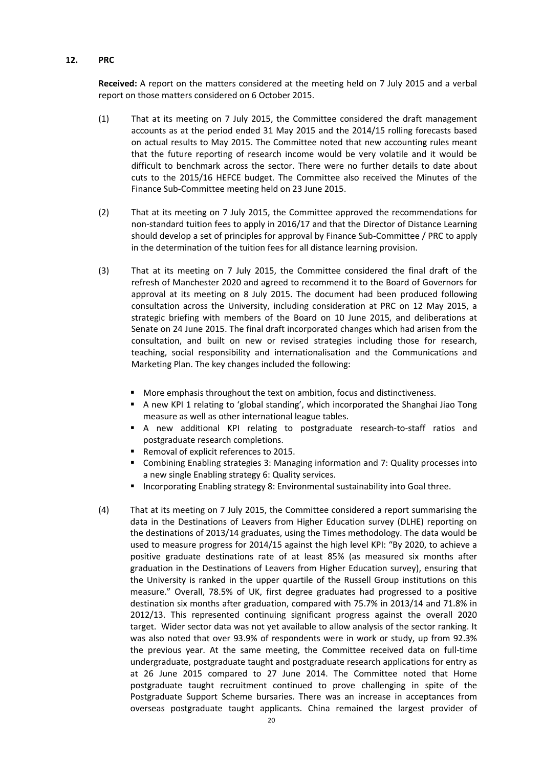## **12. PRC**

**Received:** A report on the matters considered at the meeting held on 7 July 2015 and a verbal report on those matters considered on 6 October 2015.

- (1) That at its meeting on 7 July 2015, the Committee considered the draft management accounts as at the period ended 31 May 2015 and the 2014/15 rolling forecasts based on actual results to May 2015. The Committee noted that new accounting rules meant that the future reporting of research income would be very volatile and it would be difficult to benchmark across the sector. There were no further details to date about cuts to the 2015/16 HEFCE budget. The Committee also received the Minutes of the Finance Sub-Committee meeting held on 23 June 2015.
- (2) That at its meeting on 7 July 2015, the Committee approved the recommendations for non-standard tuition fees to apply in 2016/17 and that the Director of Distance Learning should develop a set of principles for approval by Finance Sub-Committee / PRC to apply in the determination of the tuition fees for all distance learning provision.
- (3) That at its meeting on 7 July 2015, the Committee considered the final draft of the refresh of Manchester 2020 and agreed to recommend it to the Board of Governors for approval at its meeting on 8 July 2015. The document had been produced following consultation across the University, including consideration at PRC on 12 May 2015, a strategic briefing with members of the Board on 10 June 2015, and deliberations at Senate on 24 June 2015. The final draft incorporated changes which had arisen from the consultation, and built on new or revised strategies including those for research, teaching, social responsibility and internationalisation and the Communications and Marketing Plan. The key changes included the following:
	- **More emphasis throughout the text on ambition, focus and distinctiveness.**
	- A new KPI 1 relating to 'global standing', which incorporated the Shanghai Jiao Tong measure as well as other international league tables.
	- A new additional KPI relating to postgraduate research-to-staff ratios and postgraduate research completions.
	- Removal of explicit references to 2015.
	- Combining Enabling strategies 3: Managing information and 7: Quality processes into a new single Enabling strategy 6: Quality services.
	- **Incorporating Enabling strategy 8: Environmental sustainability into Goal three.**
- (4) That at its meeting on 7 July 2015, the Committee considered a report summarising the data in the Destinations of Leavers from Higher Education survey (DLHE) reporting on the destinations of 2013/14 graduates, using the Times methodology. The data would be used to measure progress for 2014/15 against the high level KPI: "By 2020, to achieve a positive graduate destinations rate of at least 85% (as measured six months after graduation in the Destinations of Leavers from Higher Education survey), ensuring that the University is ranked in the upper quartile of the Russell Group institutions on this measure." Overall, 78.5% of UK, first degree graduates had progressed to a positive destination six months after graduation, compared with 75.7% in 2013/14 and 71.8% in 2012/13. This represented continuing significant progress against the overall 2020 target. Wider sector data was not yet available to allow analysis of the sector ranking. It was also noted that over 93.9% of respondents were in work or study, up from 92.3% the previous year. At the same meeting, the Committee received data on full-time undergraduate, postgraduate taught and postgraduate research applications for entry as at 26 June 2015 compared to 27 June 2014. The Committee noted that Home postgraduate taught recruitment continued to prove challenging in spite of the Postgraduate Support Scheme bursaries. There was an increase in acceptances from overseas postgraduate taught applicants. China remained the largest provider of